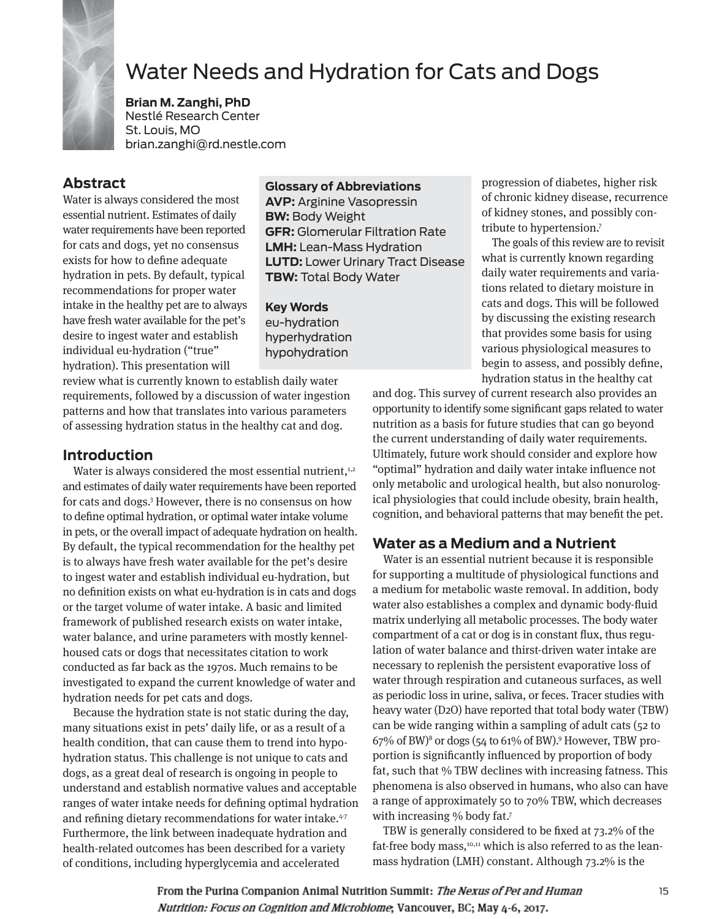

# Water Needs and Hydration for Cats and Dogs

**Brian M. Zanghi, PhD** Nestlé Research Center St. Louis, MO brian.zanghi@rd.nestle.com

### **Abstract**

Water is always considered the most essential nutrient. Estimates of daily water requirements have been reported for cats and dogs, yet no consensus exists for how to define adequate hydration in pets. By default, typical recommendations for proper water intake in the healthy pet are to always have fresh water available for the pet's desire to ingest water and establish individual eu-hydration ("true" hydration). This presentation will

#### **Glossary of Abbreviations**

**AVP:** Arginine Vasopressin **BW:** Body Weight **GFR:** Glomerular Filtration Rate **LMH:** Lean-Mass Hydration **LUTD:** Lower Urinary Tract Disease **TBW:** Total Body Water

**Key Words** eu-hydration hyperhydration hypohydration

review what is currently known to establish daily water requirements, followed by a discussion of water ingestion patterns and how that translates into various parameters of assessing hydration status in the healthy cat and dog.

#### **Introduction**

Water is always considered the most essential nutrient, $1,2$ and estimates of daily water requirements have been reported for cats and dogs.3 However, there is no consensus on how to define optimal hydration, or optimal water intake volume in pets, or the overall impact of adequate hydration on health. By default, the typical recommendation for the healthy pet is to always have fresh water available for the pet's desire to ingest water and establish individual eu-hydration, but no definition exists on what eu-hydration is in cats and dogs or the target volume of water intake. A basic and limited framework of published research exists on water intake, water balance, and urine parameters with mostly kennelhoused cats or dogs that necessitates citation to work conducted as far back as the 1970s. Much remains to be investigated to expand the current knowledge of water and hydration needs for pet cats and dogs.

Because the hydration state is not static during the day, many situations exist in pets' daily life, or as a result of a health condition, that can cause them to trend into hypohydration status. This challenge is not unique to cats and dogs, as a great deal of research is ongoing in people to understand and establish normative values and acceptable ranges of water intake needs for defining optimal hydration and refining dietary recommendations for water intake.<sup>4-7</sup> Furthermore, the link between inadequate hydration and health-related outcomes has been described for a variety of conditions, including hyperglycemia and accelerated

progression of diabetes, higher risk of chronic kidney disease, recurrence of kidney stones, and possibly contribute to hypertension.7

The goals of this review are to revisit what is currently known regarding daily water requirements and variations related to dietary moisture in cats and dogs. This will be followed by discussing the existing research that provides some basis for using various physiological measures to begin to assess, and possibly define, hydration status in the healthy cat

and dog. This survey of current research also provides an opportunity to identify some significant gaps related to water nutrition as a basis for future studies that can go beyond the current understanding of daily water requirements. Ultimately, future work should consider and explore how "optimal" hydration and daily water intake influence not only metabolic and urological health, but also nonurological physiologies that could include obesity, brain health, cognition, and behavioral patterns that may benefit the pet.

#### **Water as a Medium and a Nutrient**

Water is an essential nutrient because it is responsible for supporting a multitude of physiological functions and a medium for metabolic waste removal. In addition, body water also establishes a complex and dynamic body-fluid matrix underlying all metabolic processes. The body water compartment of a cat or dog is in constant flux, thus regulation of water balance and thirst-driven water intake are necessary to replenish the persistent evaporative loss of water through respiration and cutaneous surfaces, as well as periodic loss in urine, saliva, or feces. Tracer studies with heavy water (D2O) have reported that total body water (TBW) can be wide ranging within a sampling of adult cats (52 to 67% of BW)8 or dogs (54 to 61% of BW).9 However, TBW proportion is significantly influenced by proportion of body fat, such that % TBW declines with increasing fatness. This phenomena is also observed in humans, who also can have a range of approximately 50 to 70% TBW, which decreases with increasing % body fat.<sup>7</sup>

TBW is generally considered to be fixed at 73.2% of the fat-free body mass,<sup>10,11</sup> which is also referred to as the leanmass hydration (LMH) constant. Although 73.2% is the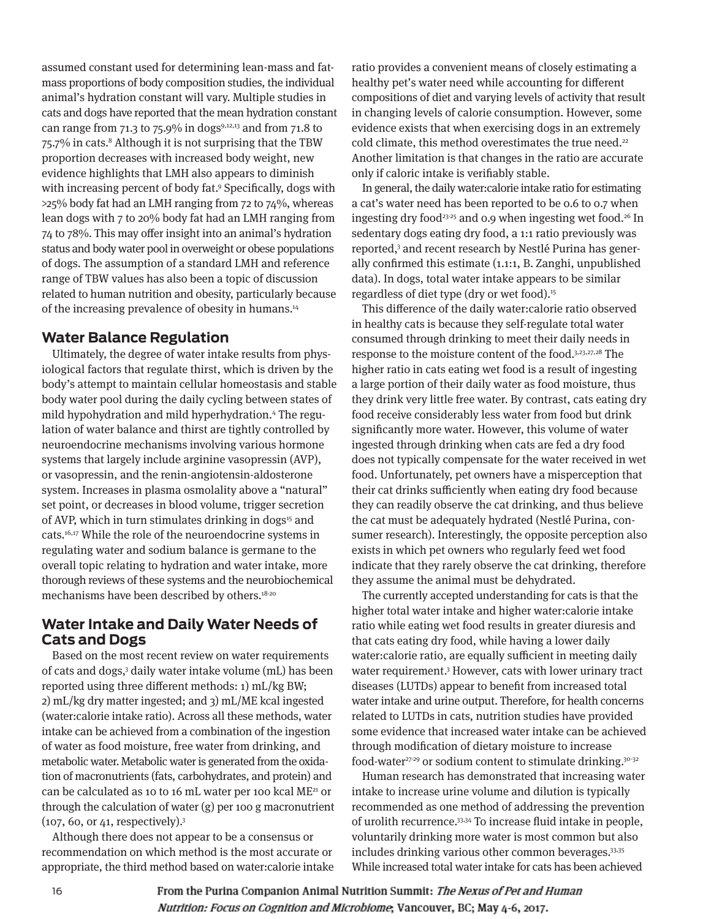assumed constant used for determining lean-mass and fatmass proportions of body composition studies, the individual animal's hydration constant will vary. Multiple studies in cats and dogs have reported that the mean hydration constant can range from 71.3 to 75.9% in dogs<sup>9,12,13</sup> and from 71.8 to 75.7% in cats.<sup>8</sup> Although it is not surprising that the TBW proportion decreases with increased body weight, new evidence highlights that LMH also appears to diminish with increasing percent of body fat.9 Specifically, dogs with >25% body fat had an LMH ranging from 72 to 74%, whereas lean dogs with 7 to 20% body fat had an LMH ranging from 74 to 78%. This may offer insight into an animal's hydration status and body water pool in overweight or obese populations of dogs. The assumption of a standard LMH and reference range of TBW values has also been a topic of discussion related to human nutrition and obesity, particularly because of the increasing prevalence of obesity in humans.14

#### **Water Balance Regulation**

Ultimately, the degree of water intake results from physiological factors that regulate thirst, which is driven by the body's attempt to maintain cellular homeostasis and stable body water pool during the daily cycling between states of mild hypohydration and mild hyperhydration.4 The regulation of water balance and thirst are tightly controlled by neuroendocrine mechanisms involving various hormone systems that largely include arginine vasopressin (AVP), or vasopressin, and the renin-angiotensin-aldosterone system. Increases in plasma osmolality above a "natural" set point, or decreases in blood volume, trigger secretion of AVP, which in turn stimulates drinking in dogs<sup>15</sup> and cats.16,17 While the role of the neuroendocrine systems in regulating water and sodium balance is germane to the overall topic relating to hydration and water intake, more thorough reviews of these systems and the neurobiochemical mechanisms have been described by others.18-20

#### **Water Intake and Daily Water Needs of Cats and Dogs**

Based on the most recent review on water requirements of cats and dogs,3 daily water intake volume (mL) has been reported using three different methods: 1) mL/kg BW; 2) mL/kg dry matter ingested; and 3) mL/ME kcal ingested (water:calorie intake ratio). Across all these methods, water intake can be achieved from a combination of the ingestion of water as food moisture, free water from drinking, and metabolic water. Metabolic water is generated from the oxidation of macronutrients (fats, carbohydrates, and protein) and can be calculated as 10 to 16 mL water per 100 kcal ME21 or through the calculation of water (g) per 100 g macronutrient (107, 60, or 41, respectively).3

Although there does not appear to be a consensus or recommendation on which method is the most accurate or appropriate, the third method based on water:calorie intake

ratio provides a convenient means of closely estimating a healthy pet's water need while accounting for different compositions of diet and varying levels of activity that result in changing levels of calorie consumption. However, some evidence exists that when exercising dogs in an extremely cold climate, this method overestimates the true need.<sup>22</sup> Another limitation is that changes in the ratio are accurate only if caloric intake is verifiably stable.

In general, the daily water:calorie intake ratio for estimating a cat's water need has been reported to be 0.6 to 0.7 when ingesting dry food<sup>23-25</sup> and 0.9 when ingesting wet food.<sup>26</sup> In sedentary dogs eating dry food, a 1:1 ratio previously was reported,3 and recent research by Nestlé Purina has generally confirmed this estimate (1.1:1, B. Zanghi, unpublished data). In dogs, total water intake appears to be similar regardless of diet type (dry or wet food).<sup>15</sup>

This difference of the daily water:calorie ratio observed in healthy cats is because they self-regulate total water consumed through drinking to meet their daily needs in response to the moisture content of the food.3,23,27,28 The higher ratio in cats eating wet food is a result of ingesting a large portion of their daily water as food moisture, thus they drink very little free water. By contrast, cats eating dry food receive considerably less water from food but drink significantly more water. However, this volume of water ingested through drinking when cats are fed a dry food does not typically compensate for the water received in wet food. Unfortunately, pet owners have a misperception that their cat drinks sufficiently when eating dry food because they can readily observe the cat drinking, and thus believe the cat must be adequately hydrated (Nestlé Purina, consumer research). Interestingly, the opposite perception also exists in which pet owners who regularly feed wet food indicate that they rarely observe the cat drinking, therefore they assume the animal must be dehydrated.

The currently accepted understanding for cats is that the higher total water intake and higher water:calorie intake ratio while eating wet food results in greater diuresis and that cats eating dry food, while having a lower daily water:calorie ratio, are equally sufficient in meeting daily water requirement.3 However, cats with lower urinary tract diseases (LUTDs) appear to benefit from increased total water intake and urine output. Therefore, for health concerns related to LUTDs in cats, nutrition studies have provided some evidence that increased water intake can be achieved through modification of dietary moisture to increase food-water<sup>27-29</sup> or sodium content to stimulate drinking.<sup>30-32</sup>

Human research has demonstrated that increasing water intake to increase urine volume and dilution is typically recommended as one method of addressing the prevention of urolith recurrence.33,34 To increase fluid intake in people, voluntarily drinking more water is most common but also includes drinking various other common beverages.<sup>33,35</sup> While increased total water intake for cats has been achieved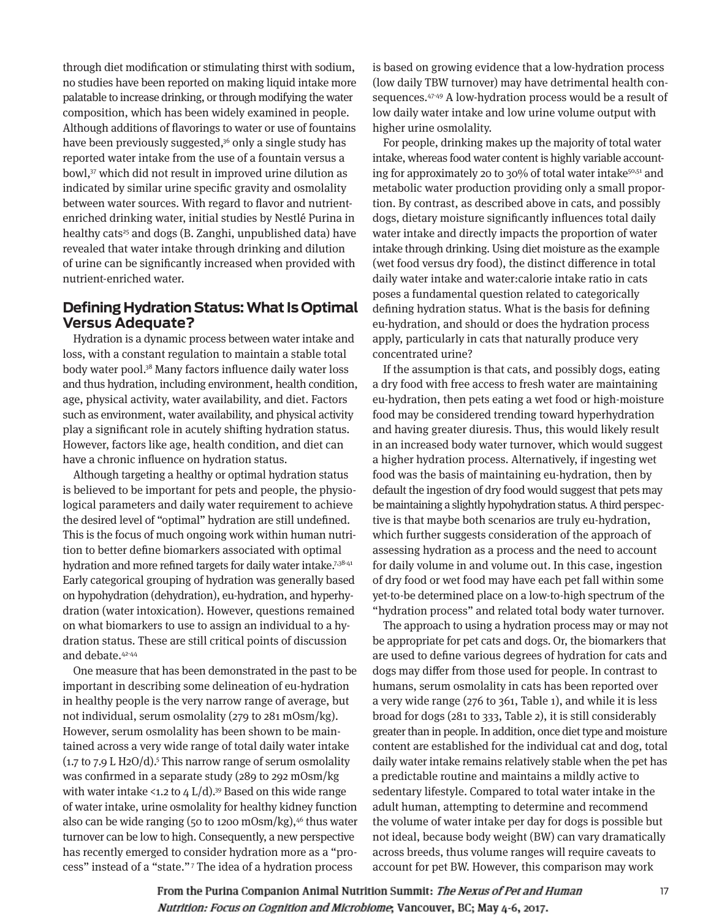through diet modification or stimulating thirst with sodium, no studies have been reported on making liquid intake more palatable to increase drinking, or through modifying the water composition, which has been widely examined in people. Although additions of flavorings to water or use of fountains have been previously suggested,<sup>36</sup> only a single study has reported water intake from the use of a fountain versus a bowl,37 which did not result in improved urine dilution as indicated by similar urine specific gravity and osmolality between water sources. With regard to flavor and nutrientenriched drinking water, initial studies by Nestlé Purina in healthy cats<sup>25</sup> and dogs (B. Zanghi, unpublished data) have revealed that water intake through drinking and dilution of urine can be significantly increased when provided with nutrient-enriched water.

#### **Defining Hydration Status: What Is Optimal Versus Adequate?**

Hydration is a dynamic process between water intake and loss, with a constant regulation to maintain a stable total body water pool.38 Many factors influence daily water loss and thus hydration, including environment, health condition, age, physical activity, water availability, and diet. Factors such as environment, water availability, and physical activity play a significant role in acutely shifting hydration status. However, factors like age, health condition, and diet can have a chronic influence on hydration status.

Although targeting a healthy or optimal hydration status is believed to be important for pets and people, the physiological parameters and daily water requirement to achieve the desired level of "optimal" hydration are still undefined. This is the focus of much ongoing work within human nutrition to better define biomarkers associated with optimal hydration and more refined targets for daily water intake.<sup>7,38-41</sup> Early categorical grouping of hydration was generally based on hypohydration (dehydration), eu-hydration, and hyperhydration (water intoxication). However, questions remained on what biomarkers to use to assign an individual to a hydration status. These are still critical points of discussion and debate.<sup>42-44</sup>

One measure that has been demonstrated in the past to be important in describing some delineation of eu-hydration in healthy people is the very narrow range of average, but not individual, serum osmolality (279 to 281 mOsm/kg). However, serum osmolality has been shown to be maintained across a very wide range of total daily water intake  $(1.7)$  to 7.9 L H2O/d).<sup>5</sup> This narrow range of serum osmolality was confirmed in a separate study (289 to 292 mOsm/kg with water intake <1.2 to  $4 L/d$ ).<sup>39</sup> Based on this wide range of water intake, urine osmolality for healthy kidney function also can be wide ranging (50 to 1200 mOsm/kg), $46$  thus water turnover can be low to high. Consequently, a new perspective has recently emerged to consider hydration more as a "process" instead of a "state."7 The idea of a hydration process

is based on growing evidence that a low-hydration process (low daily TBW turnover) may have detrimental health consequences.47-49 A low-hydration process would be a result of low daily water intake and low urine volume output with higher urine osmolality.

For people, drinking makes up the majority of total water intake, whereas food water content is highly variable accounting for approximately 20 to 30% of total water intake $50,51$  and metabolic water production providing only a small proportion. By contrast, as described above in cats, and possibly dogs, dietary moisture significantly influences total daily water intake and directly impacts the proportion of water intake through drinking. Using diet moisture as the example (wet food versus dry food), the distinct difference in total daily water intake and water:calorie intake ratio in cats poses a fundamental question related to categorically defining hydration status. What is the basis for defining eu-hydration, and should or does the hydration process apply, particularly in cats that naturally produce very concentrated urine?

If the assumption is that cats, and possibly dogs, eating a dry food with free access to fresh water are maintaining eu-hydration, then pets eating a wet food or high-moisture food may be considered trending toward hyperhydration and having greater diuresis. Thus, this would likely result in an increased body water turnover, which would suggest a higher hydration process. Alternatively, if ingesting wet food was the basis of maintaining eu-hydration, then by default the ingestion of dry food would suggest that pets may be maintaining a slightly hypohydration status. A third perspective is that maybe both scenarios are truly eu-hydration, which further suggests consideration of the approach of assessing hydration as a process and the need to account for daily volume in and volume out. In this case, ingestion of dry food or wet food may have each pet fall within some yet-to-be determined place on a low-to-high spectrum of the "hydration process" and related total body water turnover.

The approach to using a hydration process may or may not be appropriate for pet cats and dogs. Or, the biomarkers that are used to define various degrees of hydration for cats and dogs may differ from those used for people. In contrast to humans, serum osmolality in cats has been reported over a very wide range (276 to 361, Table 1), and while it is less broad for dogs (281 to 333, Table 2), it is still considerably greater than in people. In addition, once diet type and moisture content are established for the individual cat and dog, total daily water intake remains relatively stable when the pet has a predictable routine and maintains a mildly active to sedentary lifestyle. Compared to total water intake in the adult human, attempting to determine and recommend the volume of water intake per day for dogs is possible but not ideal, because body weight (BW) can vary dramatically across breeds, thus volume ranges will require caveats to account for pet BW. However, this comparison may work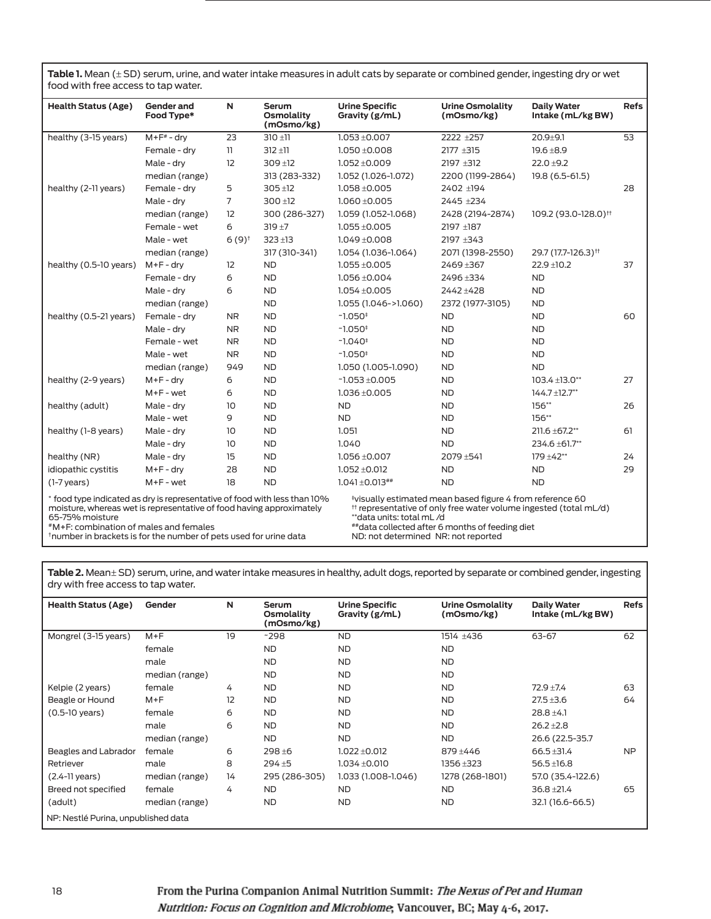**Table 1.** Mean (± SD) serum, urine, and water intake measures in adult cats by separate or combined gender, ingesting dry or wet food with free access to tap water.

| <b>Health Status (Age)</b>                                                                                                                                                                                                                                                                                                                                                                                                               | Gender and<br>Food Type* | N                   | Serum<br><b>Osmolality</b><br>(mOsmo/kg) | <b>Urine Specific</b><br>Gravity (g/mL) | <b>Urine Osmolality</b><br>(mOsmo/kg) | <b>Daily Water</b><br>Intake (mL/kg BW) | <b>Refs</b> |
|------------------------------------------------------------------------------------------------------------------------------------------------------------------------------------------------------------------------------------------------------------------------------------------------------------------------------------------------------------------------------------------------------------------------------------------|--------------------------|---------------------|------------------------------------------|-----------------------------------------|---------------------------------------|-----------------------------------------|-------------|
| healthy (3-15 years)                                                                                                                                                                                                                                                                                                                                                                                                                     | $M + F^* - dry$          | 23                  | $310 + 11$                               | $1.053 + 0.007$                         | 2222 ±257                             | $20.9 + 9.1$                            | 53          |
|                                                                                                                                                                                                                                                                                                                                                                                                                                          | Female - dry             | 11                  | $312 + 11$                               | $1.050 + 0.008$                         | $2177 + 315$                          | $19.6 + 8.9$                            |             |
|                                                                                                                                                                                                                                                                                                                                                                                                                                          | Male - drv               | 12                  | $309 + 12$                               | $1.052 \pm 0.009$                       | 2197 ±312                             | $22.0 + 9.2$                            |             |
|                                                                                                                                                                                                                                                                                                                                                                                                                                          | median (range)           |                     | 313 (283-332)                            | 1.052 (1.026-1.072)                     | 2200 (1199-2864)                      | 19.8 (6.5-61.5)                         |             |
| healthy (2-11 years)                                                                                                                                                                                                                                                                                                                                                                                                                     | Female - dry             | 5                   | $305 + 12$                               | $1.058 + 0.005$                         | 2402 ±194                             |                                         | 28          |
|                                                                                                                                                                                                                                                                                                                                                                                                                                          | Male - drv               | 7                   | $300 + 12$                               | $1.060 \pm 0.005$                       | 2445 ±234                             |                                         |             |
|                                                                                                                                                                                                                                                                                                                                                                                                                                          | median (range)           | 12                  | 300 (286-327)                            | 1.059 (1.052-1.068)                     | 2428 (2194-2874)                      | 109.2 (93.0-128.0) <sup>††</sup>        |             |
|                                                                                                                                                                                                                                                                                                                                                                                                                                          | Female - wet             | 6                   | $319 + 7$                                | $1.055 \pm 0.005$                       | 2197 ±187                             |                                         |             |
|                                                                                                                                                                                                                                                                                                                                                                                                                                          | Male - wet               | $6(9)$ <sup>t</sup> | $323 + 13$                               | $1.049 + 0.008$                         | 2197 ±343                             |                                         |             |
|                                                                                                                                                                                                                                                                                                                                                                                                                                          | median (range)           |                     | 317 (310-341)                            | 1.054 (1.036-1.064)                     | 2071 (1398-2550)                      | 29.7 (17.7-126.3) <sup>\\+1</sup>       |             |
| healthy (0.5-10 years)                                                                                                                                                                                                                                                                                                                                                                                                                   | $M+F-dry$                | 12                  | <b>ND</b>                                | $1.055 \pm 0.005$                       | 2469 ±367                             | $22.9 \pm 10.2$                         | 37          |
|                                                                                                                                                                                                                                                                                                                                                                                                                                          | Female - drv             | 6                   | <b>ND</b>                                | $1.056 \pm 0.004$                       | 2496+334                              | <b>ND</b>                               |             |
|                                                                                                                                                                                                                                                                                                                                                                                                                                          | Male - dry               | 6                   | <b>ND</b>                                | $1.054 \pm 0.005$                       | 2442 ±428                             | <b>ND</b>                               |             |
|                                                                                                                                                                                                                                                                                                                                                                                                                                          | median (range)           |                     | <b>ND</b>                                | 1.055 (1.046->1.060)                    | 2372 (1977-3105)                      | <b>ND</b>                               |             |
| healthy (0.5-21 years)                                                                                                                                                                                                                                                                                                                                                                                                                   | Female - dry             | <b>NR</b>           | <b>ND</b>                                | $-1.050+$                               | <b>ND</b>                             | <b>ND</b>                               | 60          |
|                                                                                                                                                                                                                                                                                                                                                                                                                                          | Male - dry               | <b>NR</b>           | <b>ND</b>                                | $-1.050+$                               | <b>ND</b>                             | <b>ND</b>                               |             |
|                                                                                                                                                                                                                                                                                                                                                                                                                                          | Female - wet             | N <sub>R</sub>      | <b>ND</b>                                | $-1.040$ <sup>+</sup>                   | <b>ND</b>                             | <b>ND</b>                               |             |
|                                                                                                                                                                                                                                                                                                                                                                                                                                          | Male - wet               | <b>NR</b>           | <b>ND</b>                                | $-1.050+$                               | <b>ND</b>                             | <b>ND</b>                               |             |
|                                                                                                                                                                                                                                                                                                                                                                                                                                          | median (range)           | 949                 | <b>ND</b>                                | 1.050 (1.005-1.090)                     | <b>ND</b>                             | <b>ND</b>                               |             |
| healthy (2-9 years)                                                                                                                                                                                                                                                                                                                                                                                                                      | $M+F-dry$                | 6                   | <b>ND</b>                                | $-1.053 \pm 0.005$                      | <b>ND</b>                             | $103.4 \pm 13.0**$                      | 27          |
|                                                                                                                                                                                                                                                                                                                                                                                                                                          | $M+F$ - wet              | 6                   | <b>ND</b>                                | $1.036 + 0.005$                         | <b>ND</b>                             | $144.7 \pm 12.7$ **                     |             |
| healthy (adult)                                                                                                                                                                                                                                                                                                                                                                                                                          | Male - drv               | 10                  | <b>ND</b>                                | <b>ND</b>                               | <b>ND</b>                             | 156**                                   | 26          |
|                                                                                                                                                                                                                                                                                                                                                                                                                                          | Male - wet               | 9                   | <b>ND</b>                                | <b>ND</b>                               | <b>ND</b>                             | $156**$                                 |             |
| healthy (1-8 years)                                                                                                                                                                                                                                                                                                                                                                                                                      | Male - dry               | 10                  | <b>ND</b>                                | 1.051                                   | <b>ND</b>                             | 211.6 ±67.2**                           | 61          |
|                                                                                                                                                                                                                                                                                                                                                                                                                                          | Male - drv               | 10                  | <b>ND</b>                                | 1.040                                   | <b>ND</b>                             | 234.6 ± 61.7**                          |             |
| healthy (NR)                                                                                                                                                                                                                                                                                                                                                                                                                             | Male - dry               | 15                  | <b>ND</b>                                | $1.056 \pm 0.007$                       | 2079 ±541                             | $179 + 42**$                            | 24          |
| idiopathic cystitis                                                                                                                                                                                                                                                                                                                                                                                                                      | $M+F-dry$                | 28                  | <b>ND</b>                                | $1.052 \pm 0.012$                       | <b>ND</b>                             | <b>ND</b>                               | 29          |
| $(1-7 \text{ years})$                                                                                                                                                                                                                                                                                                                                                                                                                    | $M+F$ - wet              | 18                  | <b>ND</b>                                | $1.041 \pm 0.013$ ##                    | <b>ND</b>                             | <b>ND</b>                               |             |
| * food type indicated as dry is representative of food with less than 10%<br>*visually estimated mean based figure 4 from reference 60<br>moisture, whereas wet is representative of food having approximately<br><sup>#</sup> representative of only free water volume ingested (total mL/d)<br>65-75% moisture<br>"data units: total mL/d<br>*M+F: combination of males and females<br>##data collected after 6 months of feeding diet |                          |                     |                                          |                                         |                                       |                                         |             |

†number in brackets is for the number of pets used for urine data

ND: not determined NR: not reported

**Table 2.** Mean± SD) serum, urine, and water intake measures in healthy, adult dogs, reported by separate or combined gender, ingesting dry with free access to tap water.

| <b>Health Status (Age)</b>          | Gender         | N  | <b>Serum</b><br>Osmolality<br>(mOsmo/kg) | <b>Urine Specific</b><br>Gravity (g/mL) | <b>Urine Osmolality</b><br>(mOsmo/kg) | <b>Daily Water</b><br>Intake (mL/kg BW) | <b>Refs</b> |  |  |  |
|-------------------------------------|----------------|----|------------------------------------------|-----------------------------------------|---------------------------------------|-----------------------------------------|-------------|--|--|--|
| Mongrel (3-15 years)                | $M + F$        | 19 | $-298$                                   | <b>ND</b>                               | 1514 ±436                             | 63-67                                   | 62          |  |  |  |
|                                     | female         |    | <b>ND</b>                                | <b>ND</b>                               | <b>ND</b>                             |                                         |             |  |  |  |
|                                     | male           |    | <b>ND</b>                                | <b>ND</b>                               | <b>ND</b>                             |                                         |             |  |  |  |
|                                     | median (range) |    | <b>ND</b>                                | ND.                                     | <b>ND</b>                             |                                         |             |  |  |  |
| Kelpie (2 years)                    | female         | 4  | <b>ND</b>                                | <b>ND</b>                               | <b>ND</b>                             | $72.9 + 7.4$                            | 63          |  |  |  |
| Beagle or Hound                     | $M + F$        | 12 | <b>ND</b>                                | ND.                                     | <b>ND</b>                             | $27.5 + 3.6$                            | 64          |  |  |  |
| $(0.5 - 10$ years)                  | female         | 6  | <b>ND</b>                                | ND.                                     | <b>ND</b>                             | $28.8 \pm 4.1$                          |             |  |  |  |
|                                     | male           | 6  | <b>ND</b>                                | ND.                                     | <b>ND</b>                             | $26.2 \pm 2.8$                          |             |  |  |  |
|                                     | median (range) |    | <b>ND</b>                                | ND.                                     | <b>ND</b>                             | 26.6 (22.5-35.7                         |             |  |  |  |
| Beagles and Labrador                | female         | 6  | $298 + 6$                                | $1.022 \pm 0.012$                       | $879 + 446$                           | $66.5 \pm 31.4$                         | <b>NP</b>   |  |  |  |
| Retriever                           | male           | 8  | $294 + 5$                                | $1.034 \pm 0.010$                       | 1356 ± 323                            | $56.5 \pm 16.8$                         |             |  |  |  |
| $(2.4-11)$ years)                   | median (range) | 14 | 295 (286-305)                            | 1.033 (1.008-1.046)                     | 1278 (268-1801)                       | 57.0 (35.4-122.6)                       |             |  |  |  |
| Breed not specified                 | female         | 4  | <b>ND</b>                                | <b>ND</b>                               | <b>ND</b>                             | $36.8 + 21.4$                           | 65          |  |  |  |
| (adult)                             | median (range) |    | <b>ND</b>                                | ND.                                     | <b>ND</b>                             | 32.1 (16.6-66.5)                        |             |  |  |  |
| NP: Nestlé Purina, unpublished data |                |    |                                          |                                         |                                       |                                         |             |  |  |  |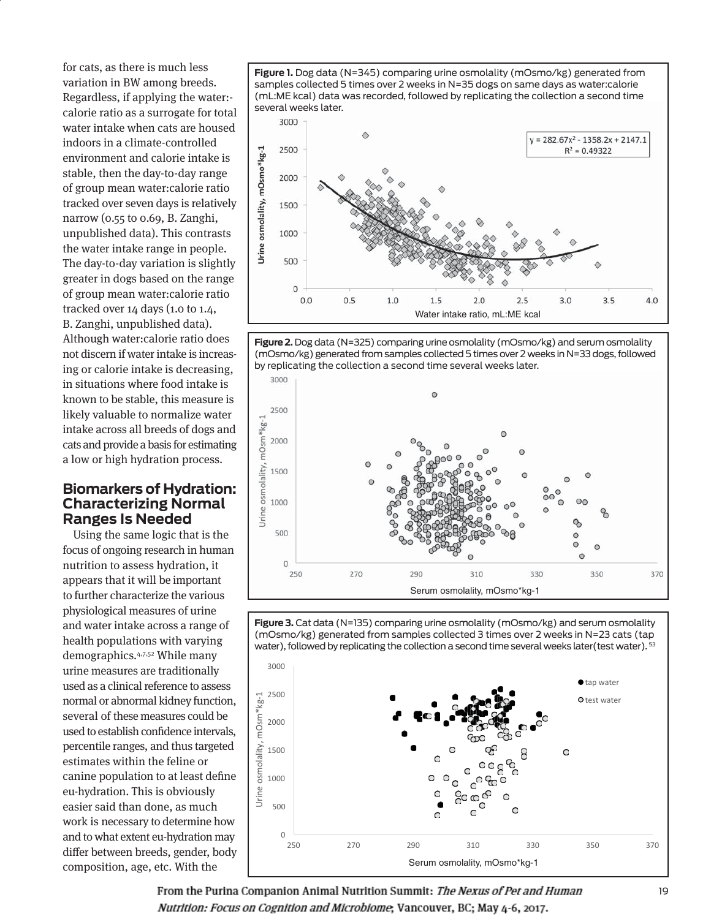for cats, as there is much less variation in BW among breeds. Regardless, if applying the water: calorie ratio as a surrogate for total water intake when cats are housed indoors in a climate-controlled environment and calorie intake is stable, then the day-to-day range of group mean water:calorie ratio tracked over seven days is relatively narrow (0.55 to 0.69, B. Zanghi, unpublished data). This contrasts the water intake range in people. The day-to-day variation is slightly greater in dogs based on the range of group mean water:calorie ratio tracked over 14 days (1.0 to 1.4, B. Zanghi, unpublished data). Although water:calorie ratio does not discern if water intake is increasing or calorie intake is decreasing, in situations where food intake is known to be stable, this measure is likely valuable to normalize water intake across all breeds of dogs and cats and provide a basis for estimating a low or high hydration process.

#### **Biomarkers of Hydration: Characterizing Normal Ranges Is Needed**

Using the same logic that is the focus of ongoing research in human nutrition to assess hydration, it appears that it will be important to further characterize the various physiological measures of urine and water intake across a range of health populations with varying demographics.4,7,52 While many urine measures are traditionally used as a clinical reference to assess normal or abnormal kidney function, several of these measures could be used to establish confidence intervals, percentile ranges, and thus targeted estimates within the feline or canine population to at least define eu-hydration. This is obviously easier said than done, as much work is necessary to determine how and to what extent eu-hydration may differ between breeds, gender, body composition, age, etc. With the

**Figure 1.** Dog data (N=345) comparing urine osmolality (mOsmo/kg) generated from samples collected 5 times over 2 weeks in N=35 dogs on same days as water:calorie (mL:ME kcal) data was recorded, followed by replicating the collection a second time several weeks later.



**Figure 2.** Dog data (N=325) comparing urine osmolality (mOsmo/kg) and serum osmolality (mOsmo/kg) generated from samples collected 5 times over 2 weeks in N=33 dogs, followed by replicating the collection a second time several weeks later.



**Figure 3.** Cat data (N=135) comparing urine osmolality (mOsmo/kg) and serum osmolality (mOsmo/kg) generated from samples collected 3 times over 2 weeks in N=23 cats (tap water), followed by replicating the collection a second time several weeks later(test water). 53

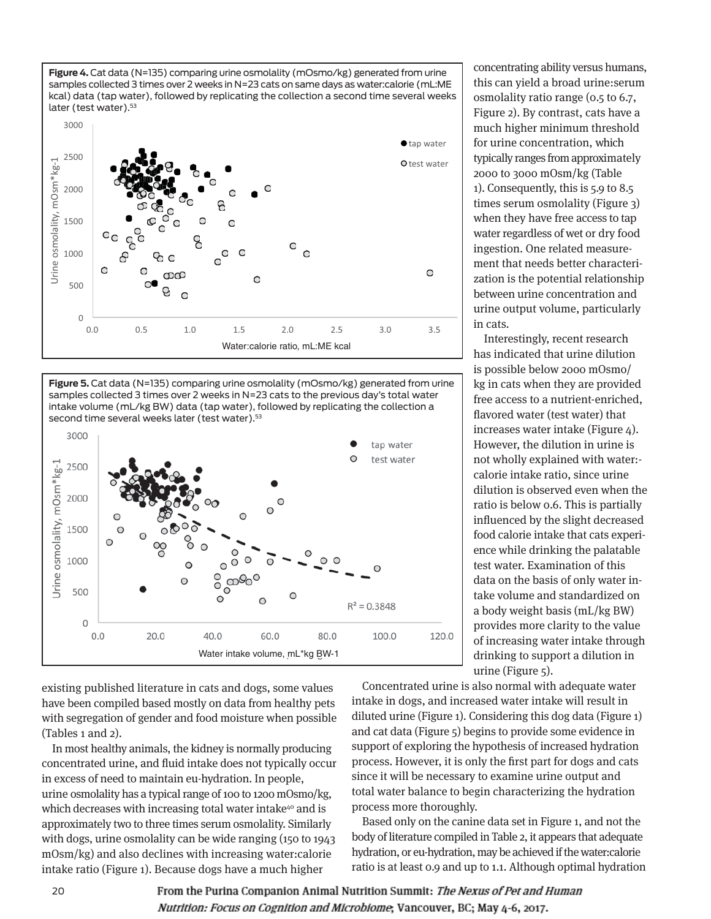**Figure 4.** Cat data (N=135) comparing urine osmolality (mOsmo/kg) generated from urine samples collected 3 times over 2 weeks in N=23 cats on same days as water:calorie (mL:ME kcal) data (tap water), followed by replicating the collection a second time several weeks later (test water).<sup>53</sup>



**Figure 5.** Cat data (N=135) comparing urine osmolality (mOsmo/kg) generated from urine samples collected 3 times over 2 weeks in N=23 cats to the previous day's total water intake volume (mL/kg BW) data (tap water), followed by replicating the collection a second time several weeks later (test water).<sup>53</sup>



existing published literature in cats and dogs, some values have been compiled based mostly on data from healthy pets with segregation of gender and food moisture when possible (Tables 1 and 2).

In most healthy animals, the kidney is normally producing concentrated urine, and fluid intake does not typically occur in excess of need to maintain eu-hydration. In people, urine osmolality has a typical range of 100 to 1200 mOsmo/kg, which decreases with increasing total water intake<sup>40</sup> and is approximately two to three times serum osmolality. Similarly with dogs, urine osmolality can be wide ranging (150 to 1943 mOsm/kg) and also declines with increasing water:calorie intake ratio (Figure 1). Because dogs have a much higher

concentrating ability versus humans, this can yield a broad urine:serum osmolality ratio range (0.5 to 6.7, Figure 2). By contrast, cats have a much higher minimum threshold for urine concentration, which typically ranges from approximately 2000 to 3000 mOsm/kg (Table 1). Consequently, this is  $5.9$  to  $8.5$ times serum osmolality (Figure 3) when they have free access to tap water regardless of wet or dry food ingestion. One related measurement that needs better characterization is the potential relationship between urine concentration and urine output volume, particularly in cats.

Interestingly, recent research has indicated that urine dilution is possible below 2000 mOsmo/ kg in cats when they are provided free access to a nutrient-enriched, flavored water (test water) that increases water intake (Figure  $4$ ). However, the dilution in urine is not wholly explained with water: calorie intake ratio, since urine dilution is observed even when the ratio is below 0.6. This is partially influenced by the slight decreased food calorie intake that cats experience while drinking the palatable test water. Examination of this data on the basis of only water intake volume and standardized on a body weight basis (mL/kg BW) provides more clarity to the value of increasing water intake through drinking to support a dilution in urine (Figure 5).

Concentrated urine is also normal with adequate water intake in dogs, and increased water intake will result in diluted urine (Figure 1). Considering this dog data (Figure 1) and cat data (Figure 5) begins to provide some evidence in support of exploring the hypothesis of increased hydration process. However, it is only the first part for dogs and cats since it will be necessary to examine urine output and total water balance to begin characterizing the hydration process more thoroughly.

Based only on the canine data set in Figure 1, and not the body of literature compiled in Table 2, it appears that adequate hydration, or eu-hydration, may be achieved if the water:calorie ratio is at least 0.9 and up to 1.1. Although optimal hydration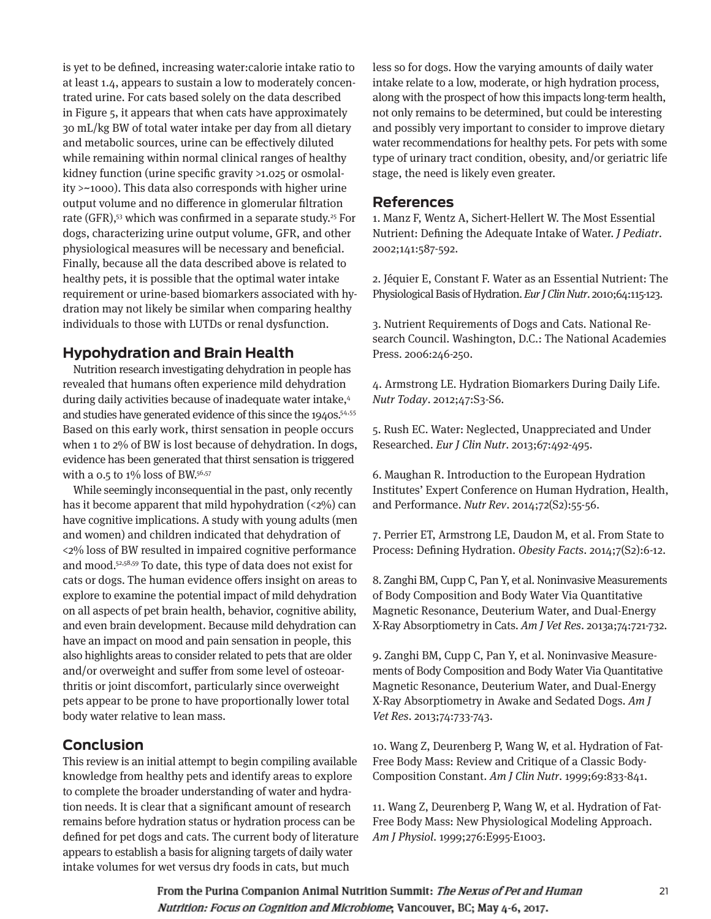is yet to be defined, increasing water:calorie intake ratio to at least 1.4, appears to sustain a low to moderately concentrated urine. For cats based solely on the data described in Figure 5, it appears that when cats have approximately 30 mL/kg BW of total water intake per day from all dietary and metabolic sources, urine can be effectively diluted while remaining within normal clinical ranges of healthy kidney function (urine specific gravity >1.025 or osmolality >~1000). This data also corresponds with higher urine output volume and no difference in glomerular filtration rate (GFR),<sup>53</sup> which was confirmed in a separate study.<sup>25</sup> For dogs, characterizing urine output volume, GFR, and other physiological measures will be necessary and beneficial. Finally, because all the data described above is related to healthy pets, it is possible that the optimal water intake requirement or urine-based biomarkers associated with hydration may not likely be similar when comparing healthy individuals to those with LUTDs or renal dysfunction.

# **Hypohydration and Brain Health**

Nutrition research investigating dehydration in people has revealed that humans often experience mild dehydration during daily activities because of inadequate water intake,4 and studies have generated evidence of this since the 1940s.<sup>54,55</sup> Based on this early work, thirst sensation in people occurs when 1 to 2% of BW is lost because of dehydration. In dogs, evidence has been generated that thirst sensation is triggered with a 0.5 to  $1\%$  loss of BW.<sup>56,57</sup>

While seemingly inconsequential in the past, only recently has it become apparent that mild hypohydration  $\left( \langle 2\% \rangle \right)$  can have cognitive implications. A study with young adults (men and women) and children indicated that dehydration of <2% loss of BW resulted in impaired cognitive performance and mood.52,58,59 To date, this type of data does not exist for cats or dogs. The human evidence offers insight on areas to explore to examine the potential impact of mild dehydration on all aspects of pet brain health, behavior, cognitive ability, and even brain development. Because mild dehydration can have an impact on mood and pain sensation in people, this also highlights areas to consider related to pets that are older and/or overweight and suffer from some level of osteoarthritis or joint discomfort, particularly since overweight pets appear to be prone to have proportionally lower total body water relative to lean mass.

# **Conclusion**

This review is an initial attempt to begin compiling available knowledge from healthy pets and identify areas to explore to complete the broader understanding of water and hydration needs. It is clear that a significant amount of research remains before hydration status or hydration process can be defined for pet dogs and cats. The current body of literature appears to establish a basis for aligning targets of daily water intake volumes for wet versus dry foods in cats, but much

less so for dogs. How the varying amounts of daily water intake relate to a low, moderate, or high hydration process, along with the prospect of how this impacts long-term health, not only remains to be determined, but could be interesting and possibly very important to consider to improve dietary water recommendations for healthy pets. For pets with some type of urinary tract condition, obesity, and/or geriatric life stage, the need is likely even greater.

## **References**

1. Manz F, Wentz A, Sichert-Hellert W. The Most Essential Nutrient: Defining the Adequate Intake of Water. J Pediatr. 2002;141:587-592.

2. Jéquier E, Constant F. Water as an Essential Nutrient: The Physiological Basis of Hydration. Eur J Clin Nutr. 2010;64:115-123.

3. Nutrient Requirements of Dogs and Cats. National Research Council. Washington, D.C.: The National Academies Press. 2006:246-250.

4. Armstrong LE. Hydration Biomarkers During Daily Life. Nutr Today. 2012;47:S3-S6.

5. Rush EC. Water: Neglected, Unappreciated and Under Researched. Eur J Clin Nutr. 2013;67:492-495.

6. Maughan R. Introduction to the European Hydration Institutes' Expert Conference on Human Hydration, Health, and Performance. Nutr Rev. 2014;72(S2):55-56.

7. Perrier ET, Armstrong LE, Daudon M, et al. From State to Process: Defining Hydration. Obesity Facts. 2014;7(S2):6-12.

8. Zanghi BM, Cupp C, Pan Y, et al. Noninvasive Measurements of Body Composition and Body Water Via Quantitative Magnetic Resonance, Deuterium Water, and Dual-Energy X-Ray Absorptiometry in Cats. Am J Vet Res. 2013a;74:721-732.

9. Zanghi BM, Cupp C, Pan Y, et al. Noninvasive Measurements of Body Composition and Body Water Via Quantitative Magnetic Resonance, Deuterium Water, and Dual-Energy X-Ray Absorptiometry in Awake and Sedated Dogs. Am J Vet Res. 2013;74:733-743.

10. Wang Z, Deurenberg P, Wang W, et al. Hydration of Fat-Free Body Mass: Review and Critique of a Classic Body-Composition Constant. Am J Clin Nutr. 1999;69:833-841.

11. Wang Z, Deurenberg P, Wang W, et al. Hydration of Fat-Free Body Mass: New Physiological Modeling Approach. Am J Physiol. 1999;276:E995-E1003.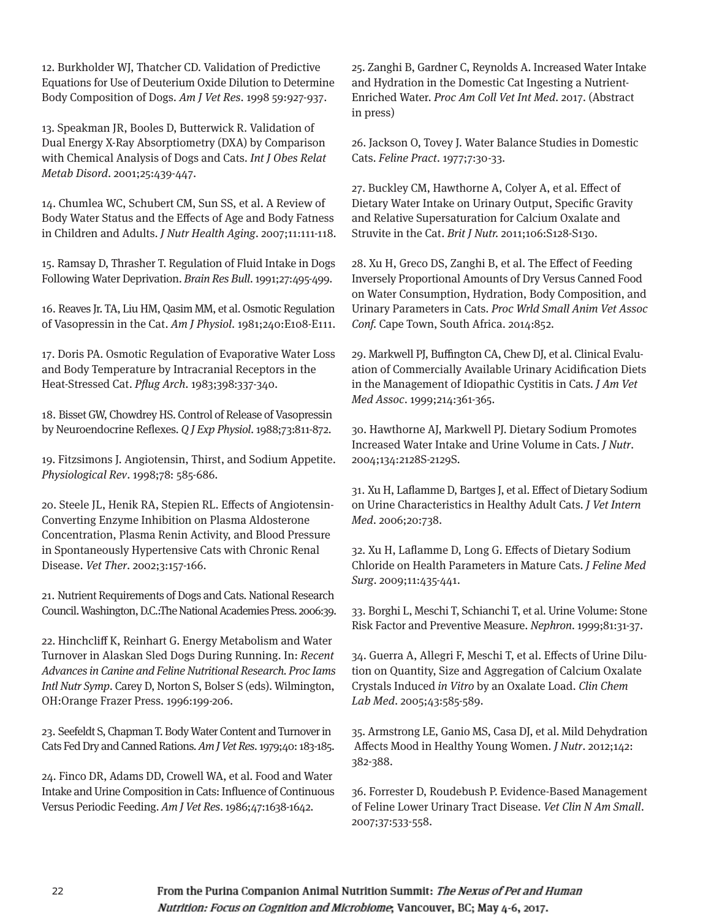12. Burkholder WJ, Thatcher CD. Validation of Predictive Equations for Use of Deuterium Oxide Dilution to Determine Body Composition of Dogs. Am J Vet Res. 1998 59:927-937.

13. Speakman JR, Booles D, Butterwick R. Validation of Dual Energy X-Ray Absorptiometry (DXA) by Comparison with Chemical Analysis of Dogs and Cats. Int J Obes Relat Metab Disord. 2001;25:439-447.

14. Chumlea WC, Schubert CM, Sun SS, et al. A Review of Body Water Status and the Effects of Age and Body Fatness in Children and Adults. J Nutr Health Aging. 2007;11:111-118.

15. Ramsay D, Thrasher T. Regulation of Fluid Intake in Dogs Following Water Deprivation. Brain Res Bull. 1991;27:495-499.

16. Reaves Jr. TA, Liu HM, Qasim MM, et al. Osmotic Regulation of Vasopressin in the Cat. Am J Physiol. 1981;240:E108-E111.

17. Doris PA. Osmotic Regulation of Evaporative Water Loss and Body Temperature by Intracranial Receptors in the Heat-Stressed Cat. Pflug Arch. 1983;398:337-340.

18. Bisset GW, Chowdrey HS. Control of Release of Vasopressin by Neuroendocrine Reflexes. Q J Exp Physiol. 1988;73:811-872.

19. Fitzsimons J. Angiotensin, Thirst, and Sodium Appetite. Physiological Rev. 1998;78: 585-686.

20. Steele JL, Henik RA, Stepien RL. Effects of Angiotensin-Converting Enzyme Inhibition on Plasma Aldosterone Concentration, Plasma Renin Activity, and Blood Pressure in Spontaneously Hypertensive Cats with Chronic Renal Disease. Vet Ther. 2002;3:157-166.

21. Nutrient Requirements of Dogs and Cats. National Research Council. Washington, D.C.:The National Academies Press. 2006:39.

22. Hinchcliff K, Reinhart G. Energy Metabolism and Water Turnover in Alaskan Sled Dogs During Running. In: Recent Advances in Canine and Feline Nutritional Research. Proc Iams Intl Nutr Symp. Carey D, Norton S, Bolser S (eds). Wilmington, OH:Orange Frazer Press. 1996:199-206.

23. Seefeldt S, Chapman T. Body Water Content and Turnover in Cats Fed Dry and Canned Rations. Am J Vet Res. 1979;40: 183-185.

24. Finco DR, Adams DD, Crowell WA, et al. Food and Water Intake and Urine Composition in Cats: Influence of Continuous Versus Periodic Feeding. Am J Vet Res. 1986;47:1638-1642.

25. Zanghi B, Gardner C, Reynolds A. Increased Water Intake and Hydration in the Domestic Cat Ingesting a Nutrient-Enriched Water. Proc Am Coll Vet Int Med. 2017. (Abstract in press)

26. Jackson O, Tovey J. Water Balance Studies in Domestic Cats. Feline Pract. 1977;7:30-33.

27. Buckley CM, Hawthorne A, Colyer A, et al. Effect of Dietary Water Intake on Urinary Output, Specific Gravity and Relative Supersaturation for Calcium Oxalate and Struvite in the Cat. Brit J Nutr. 2011;106:S128-S130.

28. Xu H, Greco DS, Zanghi B, et al. The Effect of Feeding Inversely Proportional Amounts of Dry Versus Canned Food on Water Consumption, Hydration, Body Composition, and Urinary Parameters in Cats. Proc Wrld Small Anim Vet Assoc Conf. Cape Town, South Africa. 2014:852.

29. Markwell PJ, Buffington CA, Chew DJ, et al. Clinical Evaluation of Commercially Available Urinary Acidification Diets in the Management of Idiopathic Cystitis in Cats. J Am Vet Med Assoc. 1999;214:361-365.

30. Hawthorne AJ, Markwell PJ. Dietary Sodium Promotes Increased Water Intake and Urine Volume in Cats. J Nutr. 2004;134:2128S-2129S.

31. Xu H, Laflamme D, Bartges J, et al. Effect of Dietary Sodium on Urine Characteristics in Healthy Adult Cats. J Vet Intern Med. 2006;20:738.

32. Xu H, Laflamme D, Long G. Effects of Dietary Sodium Chloride on Health Parameters in Mature Cats. J Feline Med Surg. 2009;11:435-441.

33. Borghi L, Meschi T, Schianchi T, et al. Urine Volume: Stone Risk Factor and Preventive Measure. Nephron. 1999;81:31-37.

34. Guerra A, Allegri F, Meschi T, et al. Effects of Urine Dilution on Quantity, Size and Aggregation of Calcium Oxalate Crystals Induced in Vitro by an Oxalate Load. Clin Chem Lab Med. 2005;43:585-589.

35. Armstrong LE, Ganio MS, Casa DJ, et al. Mild Dehydration Affects Mood in Healthy Young Women. J Nutr. 2012;142: 382-388.

36. Forrester D, Roudebush P. Evidence-Based Management of Feline Lower Urinary Tract Disease. Vet Clin N Am Small. 2007;37:533-558.